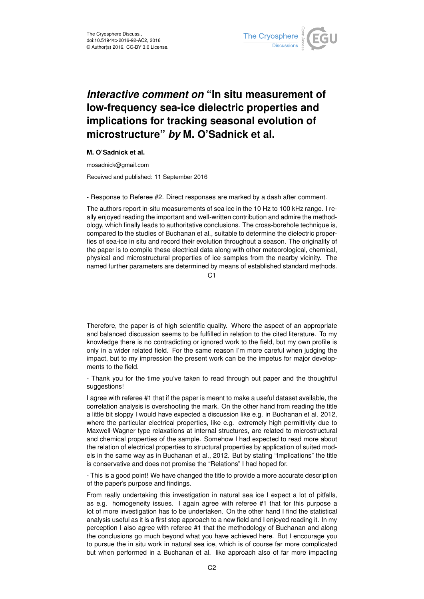

## *Interactive comment on* **"In situ measurement of low-frequency sea-ice dielectric properties and implications for tracking seasonal evolution of microstructure"** *by* **M. O'Sadnick et al.**

**M. O'Sadnick et al.**

mosadnick@gmail.com

Received and published: 11 September 2016

- Response to Referee #2. Direct responses are marked by a dash after comment.

The authors report in-situ measurements of sea ice in the 10 Hz to 100 kHz range. I really enjoyed reading the important and well-written contribution and admire the methodology, which finally leads to authoritative conclusions. The cross-borehole technique is, compared to the studies of Buchanan et al., suitable to determine the dielectric properties of sea-ice in situ and record their evolution throughout a season. The originality of the paper is to compile these electrical data along with other meteorological, chemical, physical and microstructural properties of ice samples from the nearby vicinity. The named further parameters are determined by means of established standard methods.

 $C<sub>1</sub>$ 

Therefore, the paper is of high scientific quality. Where the aspect of an appropriate and balanced discussion seems to be fulfilled in relation to the cited literature. To my knowledge there is no contradicting or ignored work to the field, but my own profile is only in a wider related field. For the same reason I'm more careful when judging the impact, but to my impression the present work can be the impetus for major developments to the field.

- Thank you for the time you've taken to read through out paper and the thoughtful suggestions!

I agree with referee #1 that if the paper is meant to make a useful dataset available, the correlation analysis is overshooting the mark. On the other hand from reading the title a little bit sloppy I would have expected a discussion like e.g. in Buchanan et al. 2012, where the particular electrical properties, like e.g. extremely high permittivity due to Maxwell-Wagner type relaxations at internal structures, are related to microstructural and chemical properties of the sample. Somehow I had expected to read more about the relation of electrical properties to structural properties by application of suited models in the same way as in Buchanan et al., 2012. But by stating "Implications" the title is conservative and does not promise the "Relations" I had hoped for.

- This is a good point! We have changed the title to provide a more accurate description of the paper's purpose and findings.

From really undertaking this investigation in natural sea ice I expect a lot of pitfalls, as e.g. homogeneity issues. I again agree with referee #1 that for this purpose a lot of more investigation has to be undertaken. On the other hand I find the statistical analysis useful as it is a first step approach to a new field and I enjoyed reading it. In my perception I also agree with referee #1 that the methodology of Buchanan and along the conclusions go much beyond what you have achieved here. But I encourage you to pursue the in situ work in natural sea ice, which is of course far more complicated but when performed in a Buchanan et al. like approach also of far more impacting